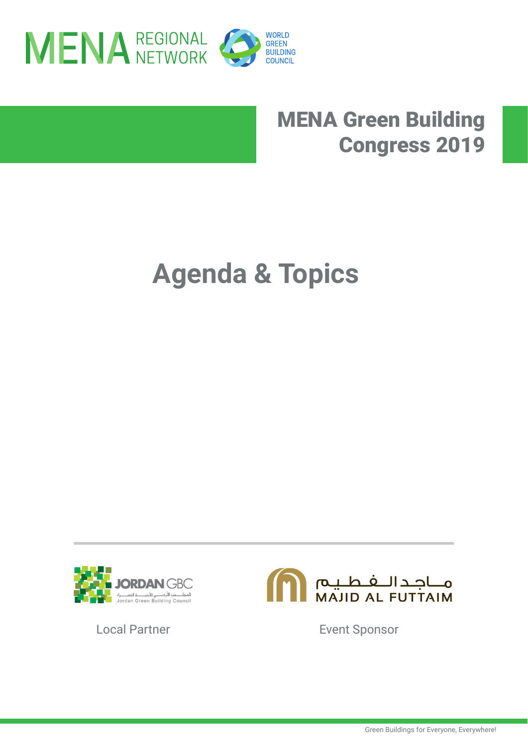

### MENA Green Building Congress 2019

# **Agenda & Topics**





Local Partner **Event Sponsor**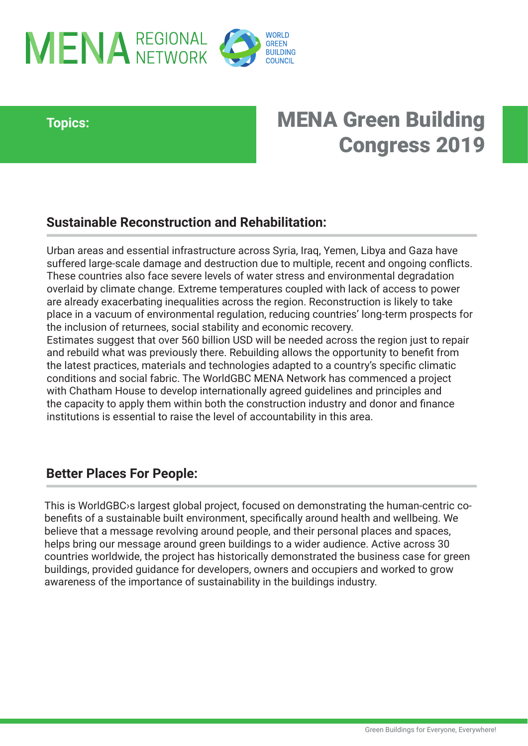

### **Topics:**

### MENA Green Building Congress 2019

### **Sustainable Reconstruction and Rehabilitation:**

Urban areas and essential infrastructure across Syria, Iraq, Yemen, Libya and Gaza have suffered large-scale damage and destruction due to multiple, recent and ongoing conflicts. These countries also face severe levels of water stress and environmental degradation overlaid by climate change. Extreme temperatures coupled with lack of access to power are already exacerbating inequalities across the region. Reconstruction is likely to take place in a vacuum of environmental regulation, reducing countries' long-term prospects for the inclusion of returnees, social stability and economic recovery.

Estimates suggest that over 560 billion USD will be needed across the region just to repair and rebuild what was previously there. Rebuilding allows the opportunity to benefit from the latest practices, materials and technologies adapted to a country's specific climatic conditions and social fabric. The WorldGBC MENA Network has commenced a project with Chatham House to develop internationally agreed guidelines and principles and the capacity to apply them within both the construction industry and donor and finance institutions is essential to raise the level of accountability in this area.

#### **Better Places For People:**

This is WorldGBC›s largest global project, focused on demonstrating the human-centric cobenefits of a sustainable built environment, specifically around health and wellbeing. We believe that a message revolving around people, and their personal places and spaces, helps bring our message around green buildings to a wider audience. Active across 30 countries worldwide, the project has historically demonstrated the business case for green buildings, provided guidance for developers, owners and occupiers and worked to grow awareness of the importance of sustainability in the buildings industry.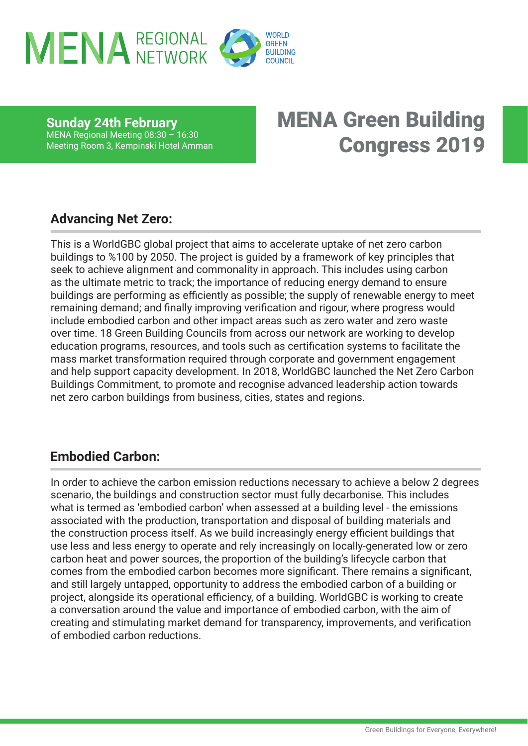

**Sunday 24th February** MENA Regional Meeting 08:30 – 16:30 Meeting Room 3, Kempinski Hotel Amman

### MENA Green Building Congress 2019

#### **Advancing Net Zero:**

This is a WorldGBC global project that aims to accelerate uptake of net zero carbon buildings to %100 by 2050. The project is guided by a framework of key principles that seek to achieve alignment and commonality in approach. This includes using carbon as the ultimate metric to track; the importance of reducing energy demand to ensure buildings are performing as efficiently as possible; the supply of renewable energy to meet remaining demand; and finally improving verification and rigour, where progress would include embodied carbon and other impact areas such as zero water and zero waste over time. 18 Green Building Councils from across our network are working to develop education programs, resources, and tools such as certification systems to facilitate the mass market transformation required through corporate and government engagement and help support capacity development. In 2018, WorldGBC launched the Net Zero Carbon Buildings Commitment, to promote and recognise advanced leadership action towards net zero carbon buildings from business, cities, states and regions.

#### **Embodied Carbon:**

In order to achieve the carbon emission reductions necessary to achieve a below 2 degrees scenario, the buildings and construction sector must fully decarbonise. This includes what is termed as 'embodied carbon' when assessed at a building level - the emissions associated with the production, transportation and disposal of building materials and the construction process itself. As we build increasingly energy efficient buildings that use less and less energy to operate and rely increasingly on locally-generated low or zero carbon heat and power sources, the proportion of the building's lifecycle carbon that comes from the embodied carbon becomes more significant. There remains a significant, and still largely untapped, opportunity to address the embodied carbon of a building or project, alongside its operational efficiency, of a building. WorldGBC is working to create a conversation around the value and importance of embodied carbon, with the aim of creating and stimulating market demand for transparency, improvements, and verification of embodied carbon reductions.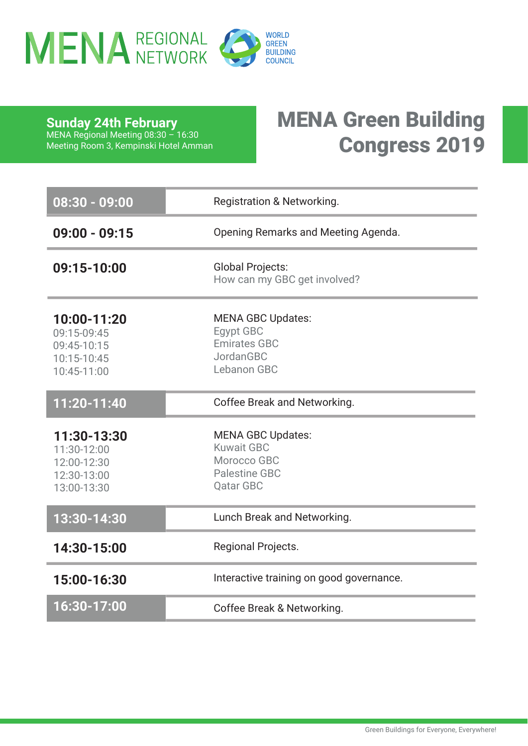

**Sunday 24th February** MENA Regional Meeting 08:30 – 16:30 Meeting Room 3, Kempinski Hotel Amman

### MENA Green Building Congress 2019

| 08:30 - 09:00                                                           | <b>Registration &amp; Networking.</b>                                                                    |
|-------------------------------------------------------------------------|----------------------------------------------------------------------------------------------------------|
| $09:00 - 09:15$                                                         | Opening Remarks and Meeting Agenda.                                                                      |
| 09:15-10:00                                                             | <b>Global Projects:</b><br>How can my GBC get involved?                                                  |
| 10:00-11:20<br>09:15-09:45<br>09:45-10:15<br>10:15-10:45<br>10:45-11:00 | <b>MENA GBC Updates:</b><br><b>Egypt GBC</b><br><b>Emirates GBC</b><br>JordanGBC<br>Lebanon GBC          |
| 11:20-11:40                                                             | Coffee Break and Networking.                                                                             |
| 11:30-13:30<br>11:30-12:00<br>12:00-12:30<br>12:30-13:00<br>13:00-13:30 | <b>MENA GBC Updates:</b><br><b>Kuwait GBC</b><br>Morocco GBC<br><b>Palestine GBC</b><br><b>Qatar GBC</b> |
| 13:30-14:30                                                             | Lunch Break and Networking.                                                                              |
| 14:30-15:00                                                             | Regional Projects.                                                                                       |
| 15:00-16:30                                                             | Interactive training on good governance.                                                                 |
| 16:30-17:00                                                             | Coffee Break & Networking.                                                                               |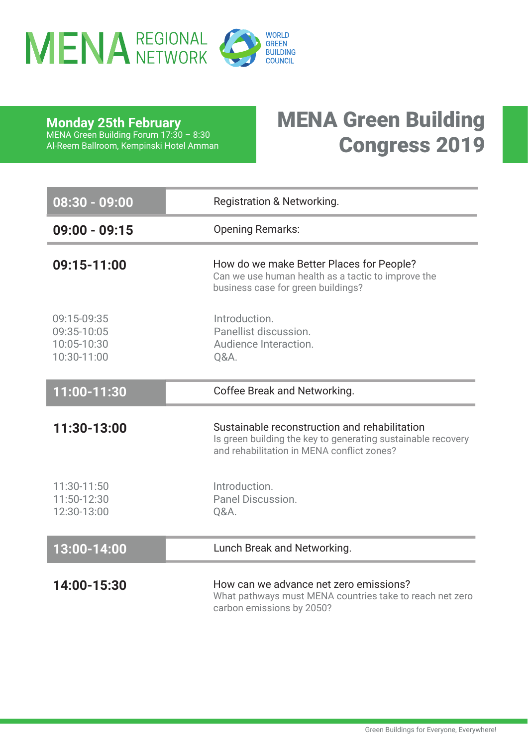

**Monday 25th February**

MENA Green Building Forum 17:30 – 8:30 Al-Reem Ballroom, Kempinski Hotel Amman MENA Green Building Congress 2019

| $08:30 - 09:00$                                          | <b>Registration &amp; Networking.</b>                                                                                                                       |
|----------------------------------------------------------|-------------------------------------------------------------------------------------------------------------------------------------------------------------|
| $09:00 - 09:15$                                          | <b>Opening Remarks:</b>                                                                                                                                     |
| 09:15-11:00                                              | How do we make Better Places for People?<br>Can we use human health as a tactic to improve the<br>business case for green buildings?                        |
| 09:15-09:35<br>09:35-10:05<br>10:05-10:30<br>10:30-11:00 | Introduction.<br>Panellist discussion.<br>Audience Interaction.<br>Q&A.                                                                                     |
| 11:00-11:30                                              | Coffee Break and Networking.                                                                                                                                |
| 11:30-13:00                                              | Sustainable reconstruction and rehabilitation<br>Is green building the key to generating sustainable recovery<br>and rehabilitation in MENA conflict zones? |
| 11:30-11:50<br>11:50-12:30<br>12:30-13:00                | Introduction.<br>Panel Discussion.<br>Q&A.                                                                                                                  |
| 13:00-14:00                                              | Lunch Break and Networking.                                                                                                                                 |
| 14:00-15:30                                              | How can we advance net zero emissions?<br>What pathways must MENA countries take to reach net zero<br>carbon emissions by 2050?                             |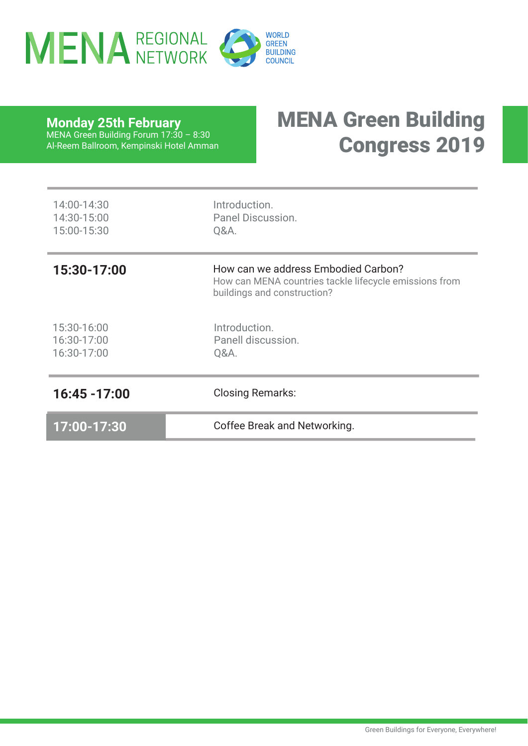

**Monday 25th February**

#### MENA Green Building Congress 2019 MENA Green Building Forum 17:30 – 8:30 Al-Reem Ballroom, Kempinski Hotel Amman

| 17:00-17:30                               | Coffee Break and Networking.                                                                                                 |
|-------------------------------------------|------------------------------------------------------------------------------------------------------------------------------|
| 16:45 - 17:00                             | <b>Closing Remarks:</b>                                                                                                      |
| 15:30-16:00<br>16:30-17:00<br>16:30-17:00 | Introduction.<br>Panell discussion.<br>Q&A.                                                                                  |
| 15:30-17:00                               | How can we address Embodied Carbon?<br>How can MENA countries tackle lifecycle emissions from<br>buildings and construction? |
| 14:00-14:30<br>14:30-15:00<br>15:00-15:30 | Introduction.<br>Panel Discussion.<br>Q&A.                                                                                   |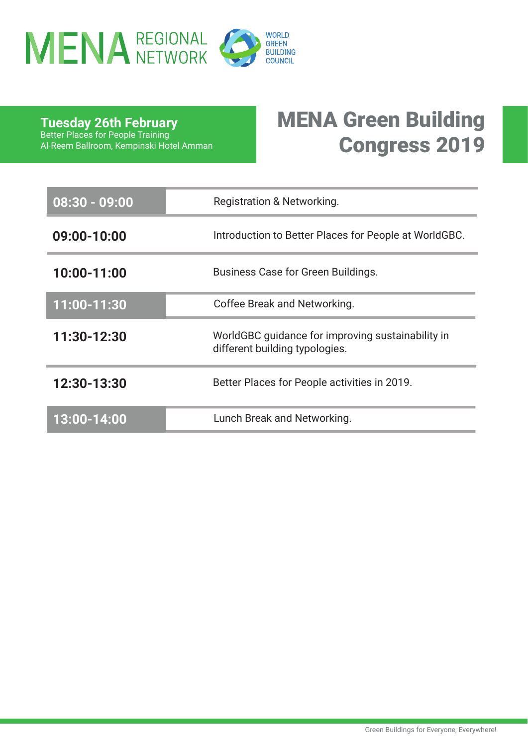

**Tuesday 26th February** Better Places for People Training Al-Reem Ballroom, Kempinski Hotel Amman

## MENA Green Building Congress 2019

| $08:30 - 09:00$ | Registration & Networking.                                                          |
|-----------------|-------------------------------------------------------------------------------------|
| 09:00-10:00     | Introduction to Better Places for People at WorldGBC.                               |
| 10:00-11:00     | Business Case for Green Buildings.                                                  |
| 11:00-11:30     | Coffee Break and Networking.                                                        |
| 11:30-12:30     | WorldGBC guidance for improving sustainability in<br>different building typologies. |
| 12:30-13:30     | Better Places for People activities in 2019.                                        |
| 13:00-14:00     | Lunch Break and Networking.                                                         |